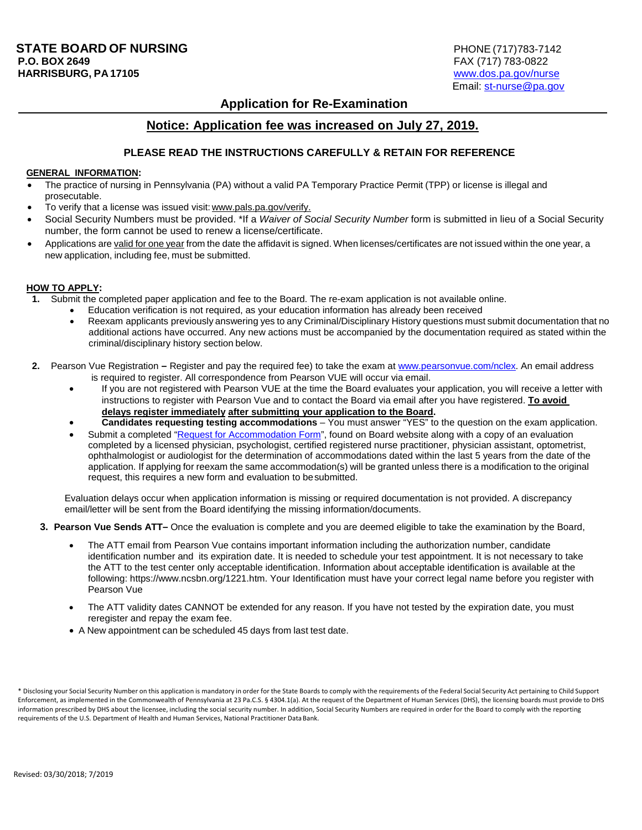# **Application for Re-Examination**

## **Notice: Application fee was increased on July 27, 2019.**

#### **PLEASE READ THE INSTRUCTIONS CAREFULLY & RETAIN FOR REFERENCE**

### **GENERAL INFORMATION:**

- The practice of nursing in Pennsylvania (PA) without a valid PA Temporary Practice Permit (TPP) or license is illegal and prosecutable.
- To verify that a license was issued visit: [www.pals.pa.gov/verify.](http://www.pals.pa.gov/verify)
- Social Security Numbers must be provided. \*If a *Waiver of Social Security Number* form is submitted in lieu of a Social Security number, the form cannot be used to renew a license/certificate.
- Applications are valid for one year from the date the affidavit is signed. When licenses/certificates are not issued within the one year, a new application, including fee, must be submitted.

#### **HOW TO APPLY:**

- **1.** Submit the completed paper application and fee to the Board. The re-exam application is not available online.
	- Education verification is not required, as your education information has already been received
	- Reexam applicants previously answering yes to any Criminal/Disciplinary History questions must submit documentation that no additional actions have occurred. Any new actions must be accompanied by the documentation required as stated within the criminal/disciplinary history section below.
- **2.** Pearson Vue Registration **–** Register and pay the required fee) to take the exam at [www.pearsonvue.com/nclex.](http://www.pearsonvue.com/nclex) An email address is required to register. All correspondence from Pearson VUE will occur via email.
	- If you are not registered with Pearson VUE at the time the Board evaluates your application, you will receive a letter with [instructions to r](http://www.pearsonvue.com/nclex)egister with Pearson Vue and to contact the Board via email after you have registered. **To avoid delays register immediately after submitting your application to the Board.**
	- **Candidates requesting testing accommodations**  You must answer "YES" to the question on the exam application.
	- Submit a completed ["Request for Accommodation Form"](http://www.dos.pa.gov/ProfessionalLicensing/BoardsCommissions/Nursing/Documents/Applications%20and%20Forms/RequestForAccommodations.pdf), found on Board website along with a copy of an evaluation completed by a licensed physician, psychologist, certified registered nurse practitioner, physician assistant, optometrist, ophthalmologist or audiologist for the determination of accommodations dated within the last 5 years from the date of the application. If applying for reexam the same accommodation(s) will be granted unless there is a modification to the original request, this requires a new form and evaluation to besubmitted.

Evaluation delays occur when application information is missing or required documentation is not provided. A discrepancy email/letter will be sent from the Board identifying the missing information/documents.

- **3. Pearson Vue Sends ATT–** Once the evaluation is complete and you are deemed eligible to take the examination by the Board,
	- The ATT email from Pearson Vue contains important information including the authorization number, candidate identification number and its expiration date. It is needed to schedule your test appointment. It is not necessary to take the ATT to the test center only acceptable identification. Information about acceptable identification is available at the following: [https://www.ncsbn.org/1221.htm.](http://www.ncsbn.org/1221.htm) Your Identification must have your correct legal name before you register with Pearson Vue
	- The ATT validity dates CANNOT be extended for any reason. If you have not tested by the expiration date, you must reregister and repay the exam fee.
	- A New appointment can be scheduled 45 days from last test date.

\* Disclosing your Social Security Number on this application is mandatory in order for the State Boards to comply with the requirements of the Federal Social Security Act pertaining to Child Support Enforcement, as implemented in the Commonwealth of Pennsylvania at 23 Pa.C.S. § 4304.1(a). At the request of the Department of Human Services (DHS), the licensing boards must provide to DHS information prescribed by DHS about the licensee, including the social security number. In addition, Social Security Numbers are required in order for the Board to comply with the reporting requirements of the U.S. Department of Health and Human Services, National Practitioner DataBank.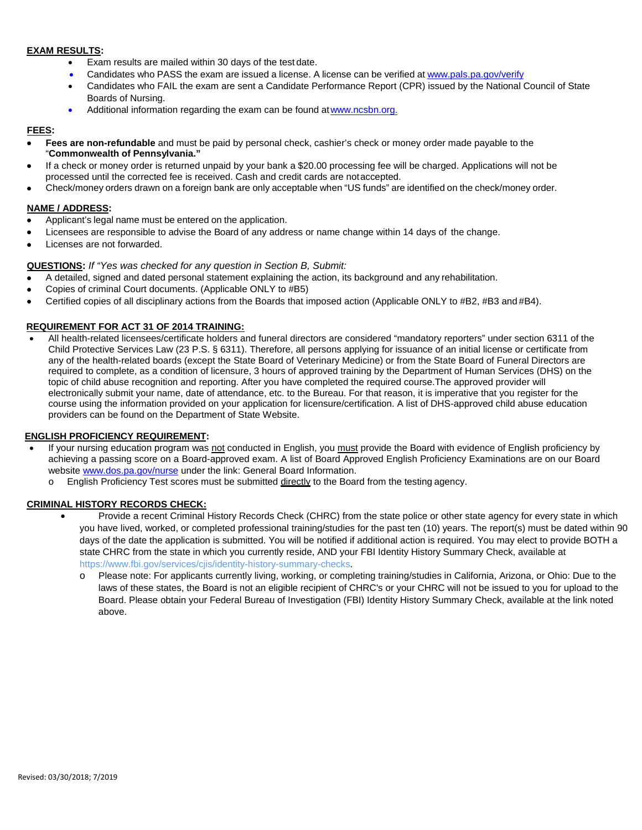#### **EXAM RESULTS:**

- Exam results are mailed within 30 days of the test date.
- Candidates who PASS the exam are issued a license. A license can be verified at [www.pals.pa.gov/verify](http://www.pals.pa.gov/verify)
- Candidates who FAIL the exam are sent a Candidate Performance Report (CPR) issued by the National Council of State Boards of Nursing.
- Additional information regarding the exam can be found at www.ncsbn.org.

#### **FEES:**

- **Fees are non-refundable** and must be paid by personal check, cashier's check or money order made payable to the "**Commonwealth of Pennsylvania."**
- If a check or money order is returned unpaid by your bank a \$20.00 processing fee will be charged. Applications will not be processed until the corrected fee is received. Cash and credit cards are notaccepted.
- Check/money orders drawn on a foreign bank are only acceptable when "US funds" are identified on the check/money order.

### **NAME / ADDRESS:**

- Applicant's legal name must be entered on the application.
- Licensees are responsible to advise the Board of any address or name change within 14 days of the change.
- Licenses are not forwarded.

#### **QUESTIONS:** *If "Yes was checked for any question in Section B, Submit:*

- A detailed, signed and dated personal statement explaining the action, its background and any rehabilitation.
- Copies of criminal Court documents. (Applicable ONLY to #B5)
- Certified copies of all disciplinary actions from the Boards that imposed action (Applicable ONLY to #B2, #B3 and #B4).

#### **REQUIREMENT FOR ACT 31 OF 2014 TRAINING:**

• All health-related licensees/certificate holders and funeral directors are considered "mandatory reporters" under section 6311 of the Child Protective Services Law (23 P.S. § 6311). Therefore, all persons applying for issuance of an initial license or certificate from any of the health-related boards (except the State Board of Veterinary Medicine) or from the State Board of Funeral Directors are required to complete, as a condition of licensure, 3 hours of approved training by the Department of Human Services (DHS) on the topic of child abuse recognition and reporting. After you have completed the required course.The approved provider will electronically submit your name, date of attendance, etc. to the Bureau. For that reason, it is imperative that you register for the course using the information provided on your application for licensure/certification. A list of DHS-approved child abuse education providers can be found on the Department of State Website.

#### **ENGLISH PROFICIENCY REQUIREMENT:**

- If your nursing education program was not conducted in English, you must provide the Board with evidence of Engl**i**sh proficiency by achieving a passing score on a Board-approved exam. A list of Board Approved English Proficiency Examinations are on our Board website [www.dos.pa.gov/nurse](http://www.dos.pa.gov/nurse) under the link: General Board Information.
	- $\circ$  English Proficiency Test scores must be submitted directly to the Board from the testing agency.

#### **CRIMINAL HISTORY RECORDS CHECK:**

- Provide a recent Criminal History Records Check (CHRC) from the state police or other state agency for every state in which you have lived, worked, or completed professional training/studies for the past ten (10) years. The report(s) must be dated within 90 days of the date the application is submitted. You will be notified if additional action is required. You may elect to provide BOTH a state CHRC from the state in which you currently reside, AND your FBI Identity History Summary Check, available at [https://www.fbi.gov/services/cjis/identity-history-summary-checks.](https://www.fbi.gov/services/cjis/identity-history-summary-checks)
	- o Please note: For applicants currently living, working, or completing training/studies in California, Arizona, or Ohio: Due to the laws of these states, the Board is not an eligible recipient of CHRC's or your CHRC will not be issued to you for upload to the Board. Please obtain your Federal Bureau of Investigation (FBI) Identity History Summary Check, available at the link noted above.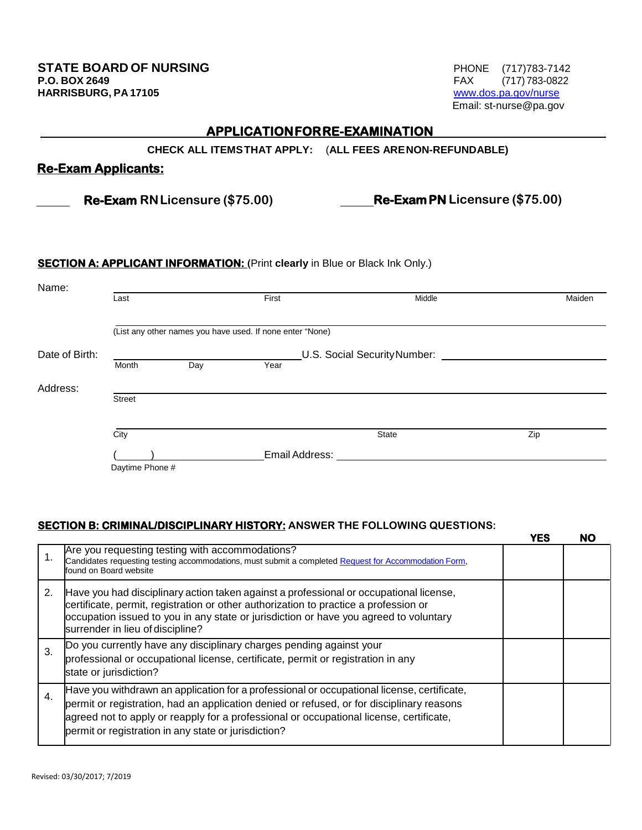**FAX** (717) 783-0822<br>www.dos.pa.gov/nurse Email: [st-nurse@pa.gov](mailto:st-nurse@pa.gov)

# **APPLICATION FOR RE-EXAMINATION**

**CHECK ALL ITEMSTHAT APPLY:** (**ALL FEES ARENON-REFUNDABLE)**

# **Re-Exam Applicants:**

 **Re-Exam RNLicensure (\$75.00) Re-Exam PN Licensure (\$75.00)**

## **SECTION A: APPLICANT INFORMATION: (Print clearly in Blue or Black Ink Only.)**

| Name:          |                                                           |     |                |        |        |  |  |
|----------------|-----------------------------------------------------------|-----|----------------|--------|--------|--|--|
|                | Last                                                      |     | First          | Middle | Maiden |  |  |
|                |                                                           |     |                |        |        |  |  |
|                | (List any other names you have used. If none enter "None) |     |                |        |        |  |  |
| Date of Birth: | U.S. Social Security Number:                              |     |                |        |        |  |  |
|                | Month                                                     | Day | Year           |        |        |  |  |
| Address:       |                                                           |     |                |        |        |  |  |
|                | <b>Street</b>                                             |     |                |        |        |  |  |
|                |                                                           |     |                |        |        |  |  |
|                | City                                                      |     |                | State  | Zip    |  |  |
|                |                                                           |     | Email Address: |        |        |  |  |
|                | Daytime Phone #                                           |     |                |        |        |  |  |

# **SECTION B: CRIMINAL/DISCIPLINARY HISTORY: ANSWER THE FOLLOWING QUESTIONS:**

|    |                                                                                                                                                                                                                                                                                                                                            | <b>YES</b> | NO |
|----|--------------------------------------------------------------------------------------------------------------------------------------------------------------------------------------------------------------------------------------------------------------------------------------------------------------------------------------------|------------|----|
|    | Are you requesting testing with accommodations?<br>Candidates requesting testing accommodations, must submit a completed Request for Accommodation Form,<br>found on Board website                                                                                                                                                         |            |    |
| 2. | Have you had disciplinary action taken against a professional or occupational license,<br>certificate, permit, registration or other authorization to practice a profession or<br>occupation issued to you in any state or jurisdiction or have you agreed to voluntary<br>surrender in lieu of discipline?                                |            |    |
| 3. | Do you currently have any disciplinary charges pending against your<br>professional or occupational license, certificate, permit or registration in any<br>state or jurisdiction?                                                                                                                                                          |            |    |
| 4. | Have you withdrawn an application for a professional or occupational license, certificate,<br>permit or registration, had an application denied or refused, or for disciplinary reasons<br>agreed not to apply or reapply for a professional or occupational license, certificate,<br>permit or registration in any state or jurisdiction? |            |    |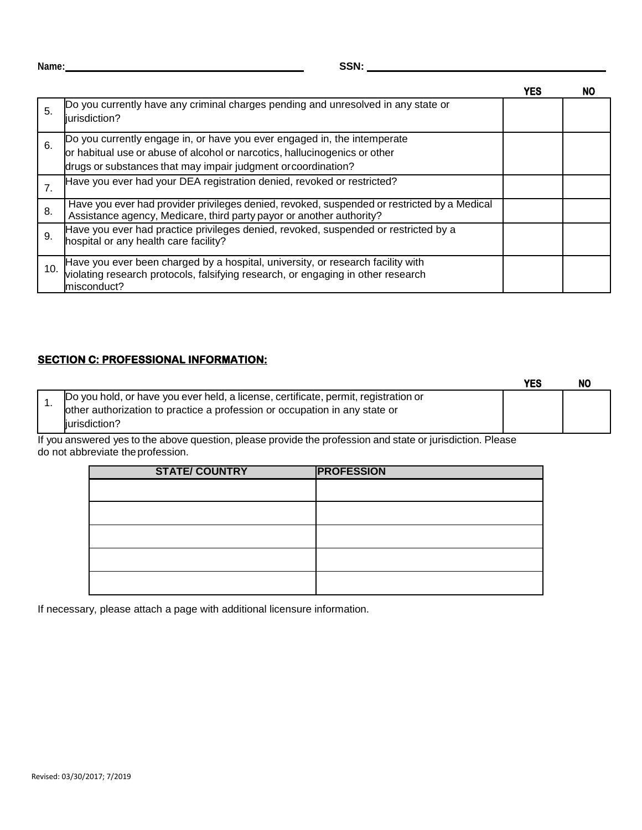| ı<br>w<br>۰.<br>v |  |
|-------------------|--|

|     |                                                                                                                                                                                                                         | YES | NΟ |
|-----|-------------------------------------------------------------------------------------------------------------------------------------------------------------------------------------------------------------------------|-----|----|
| 5.  | Do you currently have any criminal charges pending and unresolved in any state or<br>iurisdiction?                                                                                                                      |     |    |
| 6.  | Do you currently engage in, or have you ever engaged in, the intemperate<br>or habitual use or abuse of alcohol or narcotics, hallucinogenics or other<br>drugs or substances that may impair judgment or coordination? |     |    |
|     | Have you ever had your DEA registration denied, revoked or restricted?                                                                                                                                                  |     |    |
| 8.  | Have you ever had provider privileges denied, revoked, suspended or restricted by a Medical<br>Assistance agency, Medicare, third party payor or another authority?                                                     |     |    |
| 9.  | Have you ever had practice privileges denied, revoked, suspended or restricted by a<br>hospital or any health care facility?                                                                                            |     |    |
| 10. | Have you ever been charged by a hospital, university, or research facility with violating research protocols, falsifying research, or engaging in other research<br>misconduct?                                         |     |    |

# **SECTION C: PROFESSIONAL INFORMATION:**

|                                                                                                                                                                   | YES |  |
|-------------------------------------------------------------------------------------------------------------------------------------------------------------------|-----|--|
| Do you hold, or have you ever held, a license, certificate, permit, registration or<br>other authorization to practice a profession or occupation in any state or |     |  |
| iurisdiction?                                                                                                                                                     |     |  |

If you answered yes to the above question, please provide the profession and state or jurisdiction. Please do not abbreviate theprofession.

| <b>STATE/COUNTRY</b> | <b>PROFESSION</b> |
|----------------------|-------------------|
|                      |                   |
|                      |                   |
|                      |                   |
|                      |                   |
|                      |                   |
|                      |                   |

If necessary, please attach a page with additional licensure information.